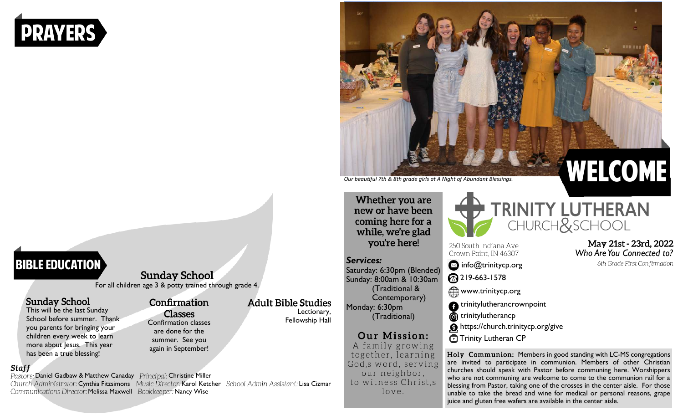# prayers

## **BIBLE EDUCATION**

**Sunday School** For all children age 3 & potty trained through grade 4.

### **Sunday School**

This will be the last Sunday School before summer. Thank you parents for bringing your children every week to learn more about lesus. This year has been a true blessing!

#### **Staff**

Pastors: Daniel Gadbaw & Matthew Canaday Principal: Christine Miller Church Administrator: Cynthia Fitzsimons Music Director: Karol Ketcher School Admin Assistant: Lisa Cizmar Communications Director: Melissa Maxwell Bookkeeper: Nancy Wise

Confirmation

## **Classes** Confirmation classes

are done for the summer. See you again in September!

*Our beautiful 7th & 8th grade girls at A Night of Abundant Blessings.* 

Whether you are new or have been coming here for a while, we're glad you're here!

#### *Services:*

Lectionary, Fellowship Hall

**Adult Bible Studies** 

Saturday: 6:30pm (Blended) Sunday: 8:00am & 10:30am (Traditional & Contemporary) Monday: 6:30pm (Traditional)

## Our Mission:

A family growing together, learning God, s word, serving our neighbor, to witness Christ.s love.



*Who Are You Connected to?*

6th Grade First Confirmation

250 South Indiana Ave Crown Point, IN 46307



219-663-1578

**WWW.trinitycp.org** 

- **f** trinitylutherancrownpoint
- **therance** trinitylutherancp
- <https://church.trinitycp.org/give>

**O** Trinity Lutheran CP

Holy Communion: Members in good standing with LC-MS congregations are invited to participate in communion. Members of other Christian churches should speak with Pastor before communing here. Worshippers who are not communing are welcome to come to the communion rail for a blessing from Pastor, taking one of the crosses in the center aisle. For those unable to take the bread and wine for medical or personal reasons, grape juice and gluten free wafers are available in the center aisle.